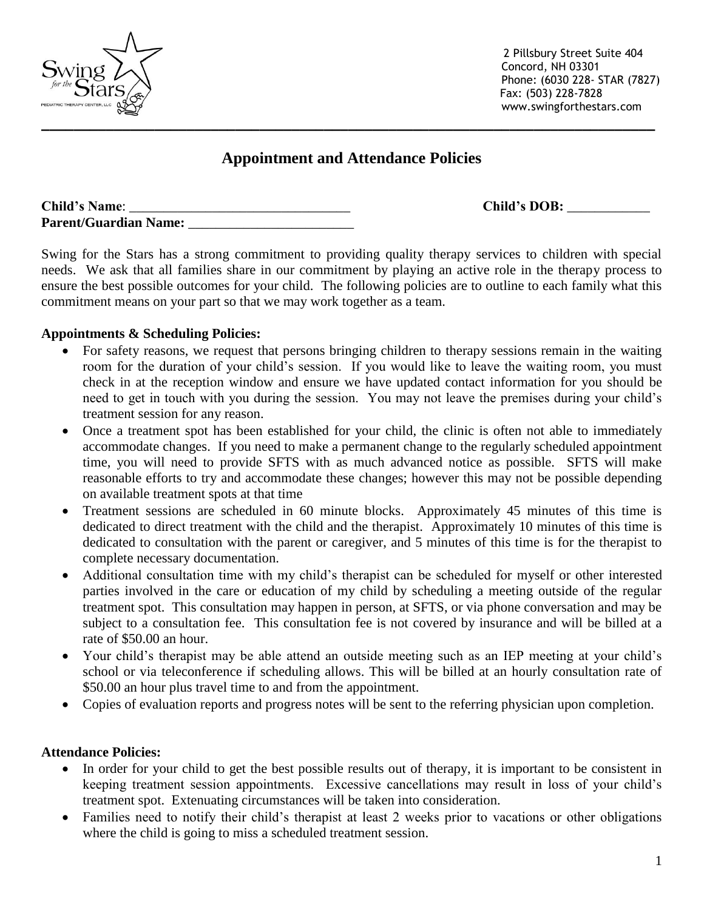2 Pillsbury Street Suite 404 Concord, NH 03301 Phone: (6030 228- STAR (7827) Fax: (503) 228-7828 www.swingforthestars.com

# **Appointment and Attendance Policies**

| <b>Child's Name:</b>         |  |
|------------------------------|--|
| <b>Parent/Guardian Name:</b> |  |

Swing for the Stars has a strong commitment to providing quality therapy services to children with special needs. We ask that all families share in our commitment by playing an active role in the therapy process to ensure the best possible outcomes for your child. The following policies are to outline to each family what this commitment means on your part so that we may work together as a team.

## **Appointments & Scheduling Policies:**

- For safety reasons, we request that persons bringing children to therapy sessions remain in the waiting room for the duration of your child's session. If you would like to leave the waiting room, you must check in at the reception window and ensure we have updated contact information for you should be need to get in touch with you during the session. You may not leave the premises during your child's treatment session for any reason.
- Once a treatment spot has been established for your child, the clinic is often not able to immediately accommodate changes. If you need to make a permanent change to the regularly scheduled appointment time, you will need to provide SFTS with as much advanced notice as possible. SFTS will make reasonable efforts to try and accommodate these changes; however this may not be possible depending on available treatment spots at that time
- Treatment sessions are scheduled in 60 minute blocks. Approximately 45 minutes of this time is dedicated to direct treatment with the child and the therapist. Approximately 10 minutes of this time is dedicated to consultation with the parent or caregiver, and 5 minutes of this time is for the therapist to complete necessary documentation.
- Additional consultation time with my child's therapist can be scheduled for myself or other interested parties involved in the care or education of my child by scheduling a meeting outside of the regular treatment spot. This consultation may happen in person, at SFTS, or via phone conversation and may be subject to a consultation fee. This consultation fee is not covered by insurance and will be billed at a rate of \$50.00 an hour.
- Your child's therapist may be able attend an outside meeting such as an IEP meeting at your child's school or via teleconference if scheduling allows. This will be billed at an hourly consultation rate of \$50.00 an hour plus travel time to and from the appointment.
- Copies of evaluation reports and progress notes will be sent to the referring physician upon completion.

## **Attendance Policies:**

- In order for your child to get the best possible results out of therapy, it is important to be consistent in keeping treatment session appointments. Excessive cancellations may result in loss of your child's treatment spot. Extenuating circumstances will be taken into consideration.
- Families need to notify their child's therapist at least 2 weeks prior to vacations or other obligations where the child is going to miss a scheduled treatment session.



Child's DOB: